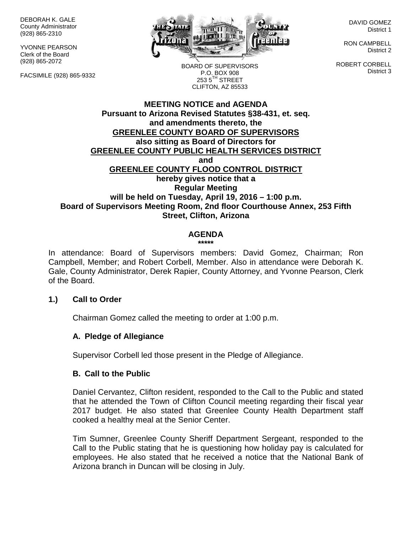DEBORAH K. GALE County Administrator (928) 865-2310

YVONNE PEARSON Clerk of the Board (928) 865-2072

FACSIMILE (928) 865-9332



DAVID GOMEZ District 1

RON CAMPBELL District 2

ROBERT CORBELL District 3

BOARD OF SUPERVISORS P.O. BOX 908  $253.5$ <sup>TH</sup> STREET CLIFTON, AZ 85533

## **MEETING NOTICE and AGENDA Pursuant to Arizona Revised Statutes §38-431, et. seq. and amendments thereto, the GREENLEE COUNTY BOARD OF SUPERVISORS also sitting as Board of Directors for GREENLEE COUNTY PUBLIC HEALTH SERVICES DISTRICT and GREENLEE COUNTY FLOOD CONTROL DISTRICT hereby gives notice that a Regular Meeting will be held on Tuesday, April 19, 2016 – 1:00 p.m. Board of Supervisors Meeting Room, 2nd floor Courthouse Annex, 253 Fifth Street, Clifton, Arizona**

# **AGENDA**

**\*\*\*\*\***

In attendance: Board of Supervisors members: David Gomez, Chairman; Ron Campbell, Member; and Robert Corbell, Member. Also in attendance were Deborah K. Gale, County Administrator, Derek Rapier, County Attorney, and Yvonne Pearson, Clerk of the Board.

#### **1.) Call to Order**

Chairman Gomez called the meeting to order at 1:00 p.m.

## **A. Pledge of Allegiance**

Supervisor Corbell led those present in the Pledge of Allegiance.

#### **B. Call to the Public**

Daniel Cervantez, Clifton resident, responded to the Call to the Public and stated that he attended the Town of Clifton Council meeting regarding their fiscal year 2017 budget. He also stated that Greenlee County Health Department staff cooked a healthy meal at the Senior Center.

Tim Sumner, Greenlee County Sheriff Department Sergeant, responded to the Call to the Public stating that he is questioning how holiday pay is calculated for employees. He also stated that he received a notice that the National Bank of Arizona branch in Duncan will be closing in July.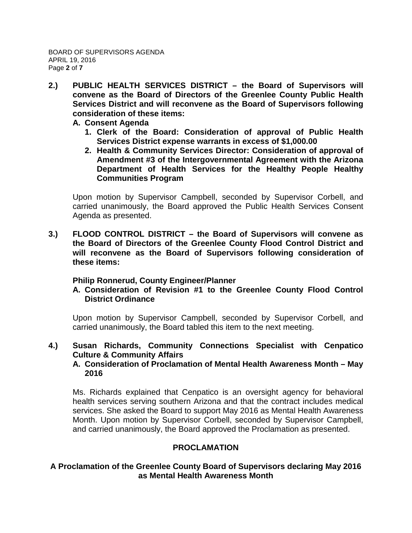- **2.) PUBLIC HEALTH SERVICES DISTRICT – the Board of Supervisors will convene as the Board of Directors of the Greenlee County Public Health Services District and will reconvene as the Board of Supervisors following consideration of these items:**
	- **A. Consent Agenda**
		- **1. Clerk of the Board: Consideration of approval of Public Health Services District expense warrants in excess of \$1,000.00**
		- **2. Health & Community Services Director: Consideration of approval of Amendment #3 of the Intergovernmental Agreement with the Arizona Department of Health Services for the Healthy People Healthy Communities Program**

Upon motion by Supervisor Campbell, seconded by Supervisor Corbell, and carried unanimously, the Board approved the Public Health Services Consent Agenda as presented.

**3.) FLOOD CONTROL DISTRICT – the Board of Supervisors will convene as the Board of Directors of the Greenlee County Flood Control District and will reconvene as the Board of Supervisors following consideration of these items:**

## **Philip Ronnerud, County Engineer/Planner**

**A. Consideration of Revision #1 to the Greenlee County Flood Control District Ordinance**

Upon motion by Supervisor Campbell, seconded by Supervisor Corbell, and carried unanimously, the Board tabled this item to the next meeting.

**4.) Susan Richards, Community Connections Specialist with Cenpatico Culture & Community Affairs**

# **A. Consideration of Proclamation of Mental Health Awareness Month – May 2016**

Ms. Richards explained that Cenpatico is an oversight agency for behavioral health services serving southern Arizona and that the contract includes medical services. She asked the Board to support May 2016 as Mental Health Awareness Month. Upon motion by Supervisor Corbell, seconded by Supervisor Campbell, and carried unanimously, the Board approved the Proclamation as presented.

## **PROCLAMATION**

# **A Proclamation of the Greenlee County Board of Supervisors declaring May 2016 as Mental Health Awareness Month**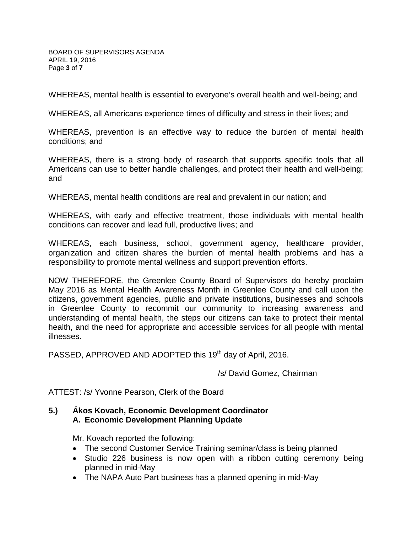BOARD OF SUPERVISORS AGENDA APRIL 19, 2016 Page **3** of **7**

WHEREAS, mental health is essential to everyone's overall health and well-being; and

WHEREAS, all Americans experience times of difficulty and stress in their lives; and

WHEREAS, prevention is an effective way to reduce the burden of mental health conditions; and

WHEREAS, there is a strong body of research that supports specific tools that all Americans can use to better handle challenges, and protect their health and well-being; and

WHEREAS, mental health conditions are real and prevalent in our nation; and

WHEREAS, with early and effective treatment, those individuals with mental health conditions can recover and lead full, productive lives; and

WHEREAS, each business, school, government agency, healthcare provider, organization and citizen shares the burden of mental health problems and has a responsibility to promote mental wellness and support prevention efforts.

NOW THEREFORE, the Greenlee County Board of Supervisors do hereby proclaim May 2016 as Mental Health Awareness Month in Greenlee County and call upon the citizens, government agencies, public and private institutions, businesses and schools in Greenlee County to recommit our community to increasing awareness and understanding of mental health, the steps our citizens can take to protect their mental health, and the need for appropriate and accessible services for all people with mental illnesses.

PASSED, APPROVED AND ADOPTED this 19<sup>th</sup> day of April, 2016.

/s/ David Gomez, Chairman

ATTEST: /s/ Yvonne Pearson, Clerk of the Board

### **5.) Ákos Kovach, Economic Development Coordinator A. Economic Development Planning Update**

Mr. Kovach reported the following:

- The second Customer Service Training seminar/class is being planned
- Studio 226 business is now open with a ribbon cutting ceremony being planned in mid-May
- The NAPA Auto Part business has a planned opening in mid-May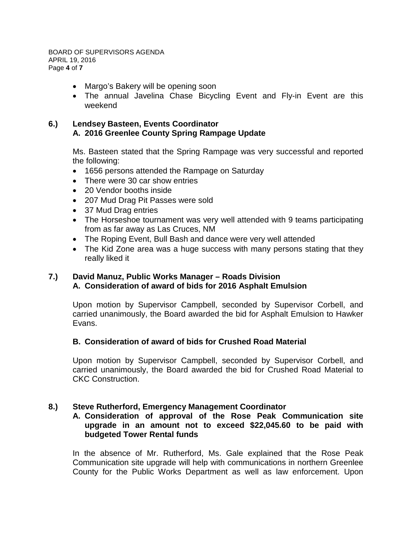- Margo's Bakery will be opening soon
- The annual Javelina Chase Bicycling Event and Fly-in Event are this weekend

# **6.) Lendsey Basteen, Events Coordinator A. 2016 Greenlee County Spring Rampage Update**

Ms. Basteen stated that the Spring Rampage was very successful and reported the following:

- 1656 persons attended the Rampage on Saturday
- There were 30 car show entries
- 20 Vendor booths inside
- 207 Mud Drag Pit Passes were sold
- 37 Mud Drag entries
- The Horseshoe tournament was very well attended with 9 teams participating from as far away as Las Cruces, NM
- The Roping Event, Bull Bash and dance were very well attended
- The Kid Zone area was a huge success with many persons stating that they really liked it

### **7.) David Manuz, Public Works Manager – Roads Division A. Consideration of award of bids for 2016 Asphalt Emulsion**

Upon motion by Supervisor Campbell, seconded by Supervisor Corbell, and carried unanimously, the Board awarded the bid for Asphalt Emulsion to Hawker Evans.

## **B. Consideration of award of bids for Crushed Road Material**

Upon motion by Supervisor Campbell, seconded by Supervisor Corbell, and carried unanimously, the Board awarded the bid for Crushed Road Material to CKC Construction.

## **8.) Steve Rutherford, Emergency Management Coordinator**

### **A. Consideration of approval of the Rose Peak Communication site upgrade in an amount not to exceed \$22,045.60 to be paid with budgeted Tower Rental funds**

In the absence of Mr. Rutherford, Ms. Gale explained that the Rose Peak Communication site upgrade will help with communications in northern Greenlee County for the Public Works Department as well as law enforcement. Upon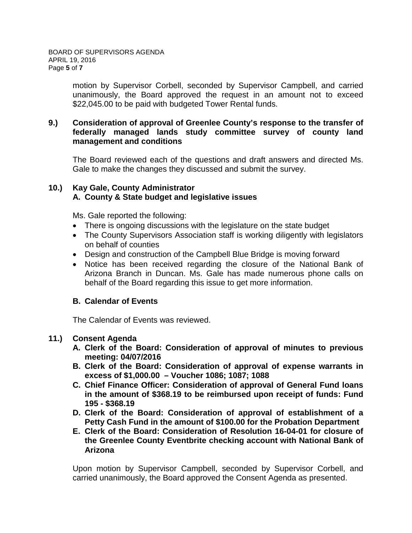motion by Supervisor Corbell, seconded by Supervisor Campbell, and carried unanimously, the Board approved the request in an amount not to exceed \$22,045,00 to be paid with budgeted Tower Rental funds.

## **9.) Consideration of approval of Greenlee County's response to the transfer of federally managed lands study committee survey of county land management and conditions**

The Board reviewed each of the questions and draft answers and directed Ms. Gale to make the changes they discussed and submit the survey.

# **10.) Kay Gale, County Administrator A. County & State budget and legislative issues**

Ms. Gale reported the following:

- There is ongoing discussions with the legislature on the state budget
- The County Supervisors Association staff is working diligently with legislators on behalf of counties
- Design and construction of the Campbell Blue Bridge is moving forward
- Notice has been received regarding the closure of the National Bank of Arizona Branch in Duncan. Ms. Gale has made numerous phone calls on behalf of the Board regarding this issue to get more information.

## **B. Calendar of Events**

The Calendar of Events was reviewed.

## **11.) Consent Agenda**

- **A. Clerk of the Board: Consideration of approval of minutes to previous meeting: 04/07/2016**
- **B. Clerk of the Board: Consideration of approval of expense warrants in excess of \$1,000.00 – Voucher 1086; 1087; 1088**
- **C. Chief Finance Officer: Consideration of approval of General Fund loans in the amount of \$368.19 to be reimbursed upon receipt of funds: Fund 195 - \$368.19**
- **D. Clerk of the Board: Consideration of approval of establishment of a Petty Cash Fund in the amount of \$100.00 for the Probation Department**
- **E. Clerk of the Board: Consideration of Resolution 16-04-01 for closure of the Greenlee County Eventbrite checking account with National Bank of Arizona**

Upon motion by Supervisor Campbell, seconded by Supervisor Corbell, and carried unanimously, the Board approved the Consent Agenda as presented.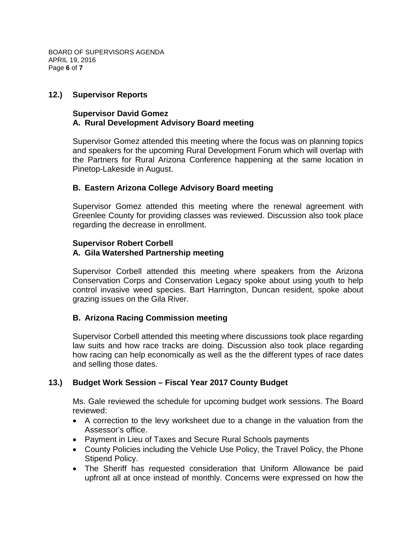BOARD OF SUPERVISORS AGENDA APRIL 19, 2016 Page **6** of **7**

### **12.) Supervisor Reports**

### **Supervisor David Gomez A. Rural Development Advisory Board meeting**

Supervisor Gomez attended this meeting where the focus was on planning topics and speakers for the upcoming Rural Development Forum which will overlap with the Partners for Rural Arizona Conference happening at the same location in Pinetop-Lakeside in August.

### **B. Eastern Arizona College Advisory Board meeting**

Supervisor Gomez attended this meeting where the renewal agreement with Greenlee County for providing classes was reviewed. Discussion also took place regarding the decrease in enrollment.

#### **Supervisor Robert Corbell A. Gila Watershed Partnership meeting**

Supervisor Corbell attended this meeting where speakers from the Arizona Conservation Corps and Conservation Legacy spoke about using youth to help control invasive weed species. Bart Harrington, Duncan resident, spoke about grazing issues on the Gila River.

## **B. Arizona Racing Commission meeting**

Supervisor Corbell attended this meeting where discussions took place regarding law suits and how race tracks are doing. Discussion also took place regarding how racing can help economically as well as the the different types of race dates and selling those dates.

## **13.) Budget Work Session – Fiscal Year 2017 County Budget**

Ms. Gale reviewed the schedule for upcoming budget work sessions. The Board reviewed:

- A correction to the levy worksheet due to a change in the valuation from the Assessor's office.
- Payment in Lieu of Taxes and Secure Rural Schools payments
- County Policies including the Vehicle Use Policy, the Travel Policy, the Phone Stipend Policy.
- The Sheriff has requested consideration that Uniform Allowance be paid upfront all at once instead of monthly. Concerns were expressed on how the